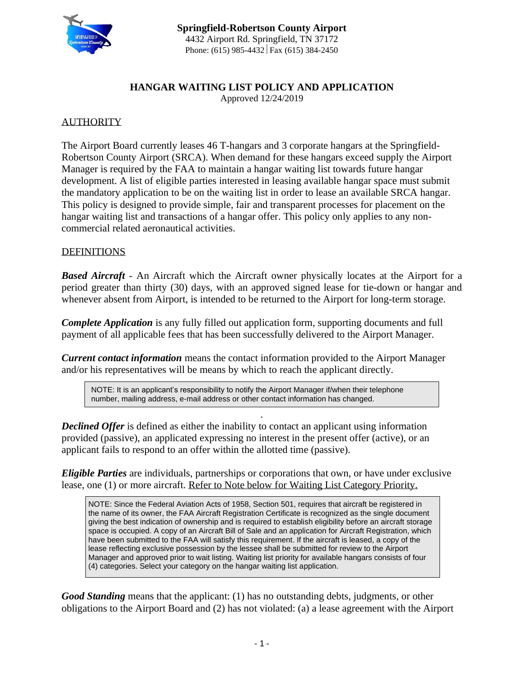

#### **HANGAR WAITING LIST POLICY AND APPLICATION** Approved 12/24/2019

## **AUTHORITY**

The Airport Board currently leases 46 T-hangars and 3 corporate hangars at the Springfield-Robertson County Airport (SRCA). When demand for these hangars exceed supply the Airport Manager is required by the FAA to maintain a hangar waiting list towards future hangar development. A list of eligible parties interested in leasing available hangar space must submit the mandatory application to be on the waiting list in order to lease an available SRCA hangar. This policy is designed to provide simple, fair and transparent processes for placement on the hangar waiting list and transactions of a hangar offer. This policy only applies to any noncommercial related aeronautical activities.

#### DEFINITIONS

*Based Aircraft* - An Aircraft which the Aircraft owner physically locates at the Airport for a period greater than thirty (30) days, with an approved signed lease for tie-down or hangar and whenever absent from Airport, is intended to be returned to the Airport for long-term storage.

*Complete Application* is any fully filled out application form, supporting documents and full payment of all applicable fees that has been successfully delivered to the Airport Manager.

*Current contact information* means the contact information provided to the Airport Manager and/or his representatives will be means by which to reach the applicant directly.

NOTE: It is an applicant's responsibility to notify the Airport Manager if/when their telephone number, mailing address, e-mail address or other contact information has changed.

*Declined Offer* is defined as either the inability to contact an applicant using information provided (passive), an applicated expressing no interest in the present offer (active), or an applicant fails to respond to an offer within the allotted time (passive).

*Eligible Parties* are individuals, partnerships or corporations that own, or have under exclusive lease, one (1) or more aircraft. Refer to Note below for Waiting List Category Priority.

**.**

NOTE: Since the Federal Aviation Acts of 1958, Section 501, requires that aircraft be registered in the name of its owner, the FAA Aircraft Registration Certificate is recognized as the single document giving the best indication of ownership and is required to establish eligibility before an aircraft storage space is occupied. A copy of an Aircraft Bill of Sale and an application for Aircraft Registration, which have been submitted to the FAA will satisfy this requirement. If the aircraft is leased, a copy of the lease reflecting exclusive possession by the lessee shall be submitted for review to the Airport Manager and approved prior to wait listing. Waiting list priority for available hangars consists of four (4) categories. Select your category on the hangar waiting list application.

*Good Standing* means that the applicant: (1) has no outstanding debts, judgments, or other obligations to the Airport Board and (2) has not violated: (a) a lease agreement with the Airport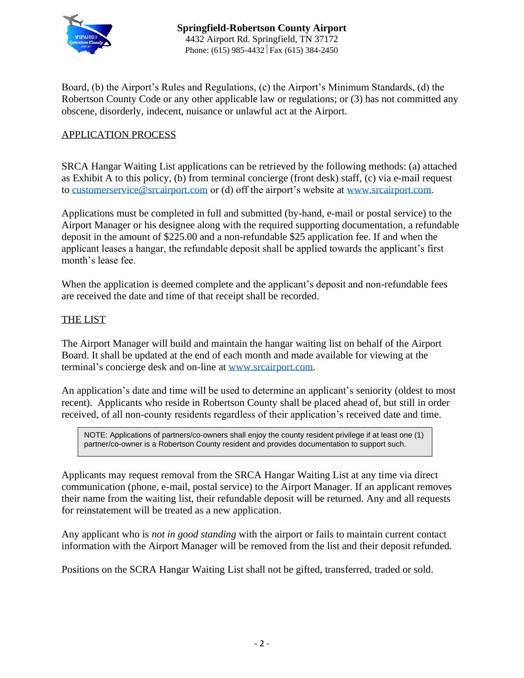

Board, (b) the Airport's Rules and Regulations, (c) the Airport's Minimum Standards, (d) the Robertson County Code or any other applicable law or regulations; or (3) has not committed any obscene, disorderly, indecent, nuisance or unlawful act at the Airport.

## APPLICATION PROCESS

SRCA Hangar Waiting List applications can be retrieved by the following methods: (a) attached as Exhibit A to this policy, (b) from terminal concierge (front desk) staff, (c) via e-mail request to [customerservice@srcairport.com](mailto:customerservice@srcairport.com) or (d) off the airport's website at [www.srcairport.com.](http://www.srcairport.com/)

Applications must be completed in full and submitted (by-hand, e-mail or postal service) to the Airport Manager or his designee along with the required supporting documentation, a refundable deposit in the amount of \$225.00 and a non-refundable \$25 application fee. If and when the applicant leases a hangar, the refundable deposit shall be applied towards the applicant's first month's lease fee.

When the application is deemed complete and the applicant's deposit and non-refundable fees are received the date and time of that receipt shall be recorded.

## THE LIST

The Airport Manager will build and maintain the hangar waiting list on behalf of the Airport Board. It shall be updated at the end of each month and made available for viewing at the terminal's concierge desk and on-line at [www.srcairport.com.](http://www.srcairport.com/)

An application's date and time will be used to determine an applicant's seniority (oldest to most recent). Applicants who reside in Robertson County shall be placed ahead of, but still in order received, of all non-county residents regardless of their application's received date and time.

NOTE: Applications of partners/co-owners shall enjoy the county resident privilege if at least one (1) partner/co-owner is a Robertson County resident and provides documentation to support such.

Applicants may request removal from the SRCA Hangar Waiting List at any time via direct communication (phone, e-mail, postal service) to the Airport Manager. If an applicant removes their name from the waiting list, their refundable deposit will be returned. Any and all requests for reinstatement will be treated as a new application.

Any applicant who is *not in good standing* with the airport or fails to maintain current contact information with the Airport Manager will be removed from the list and their deposit refunded.

Positions on the SCRA Hangar Waiting List shall not be gifted, transferred, traded or sold.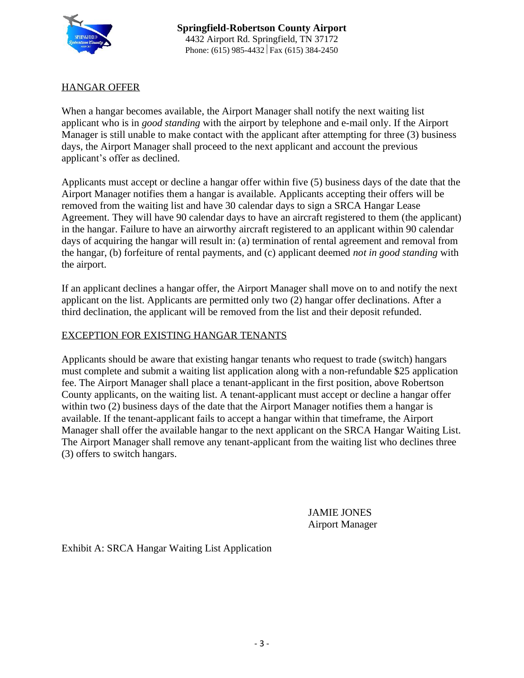

## HANGAR OFFER

When a hangar becomes available, the Airport Manager shall notify the next waiting list applicant who is in *good standing* with the airport by telephone and e-mail only. If the Airport Manager is still unable to make contact with the applicant after attempting for three (3) business days, the Airport Manager shall proceed to the next applicant and account the previous applicant's offer as declined.

Applicants must accept or decline a hangar offer within five (5) business days of the date that the Airport Manager notifies them a hangar is available. Applicants accepting their offers will be removed from the waiting list and have 30 calendar days to sign a SRCA Hangar Lease Agreement. They will have 90 calendar days to have an aircraft registered to them (the applicant) in the hangar. Failure to have an airworthy aircraft registered to an applicant within 90 calendar days of acquiring the hangar will result in: (a) termination of rental agreement and removal from the hangar, (b) forfeiture of rental payments, and (c) applicant deemed *not in good standing* with the airport.

If an applicant declines a hangar offer, the Airport Manager shall move on to and notify the next applicant on the list. Applicants are permitted only two (2) hangar offer declinations. After a third declination, the applicant will be removed from the list and their deposit refunded.

#### EXCEPTION FOR EXISTING HANGAR TENANTS

Applicants should be aware that existing hangar tenants who request to trade (switch) hangars must complete and submit a waiting list application along with a non-refundable \$25 application fee. The Airport Manager shall place a tenant-applicant in the first position, above Robertson County applicants, on the waiting list. A tenant-applicant must accept or decline a hangar offer within two (2) business days of the date that the Airport Manager notifies them a hangar is available. If the tenant-applicant fails to accept a hangar within that timeframe, the Airport Manager shall offer the available hangar to the next applicant on the SRCA Hangar Waiting List. The Airport Manager shall remove any tenant-applicant from the waiting list who declines three (3) offers to switch hangars.

> JAMIE JONES Airport Manager

Exhibit A: SRCA Hangar Waiting List Application